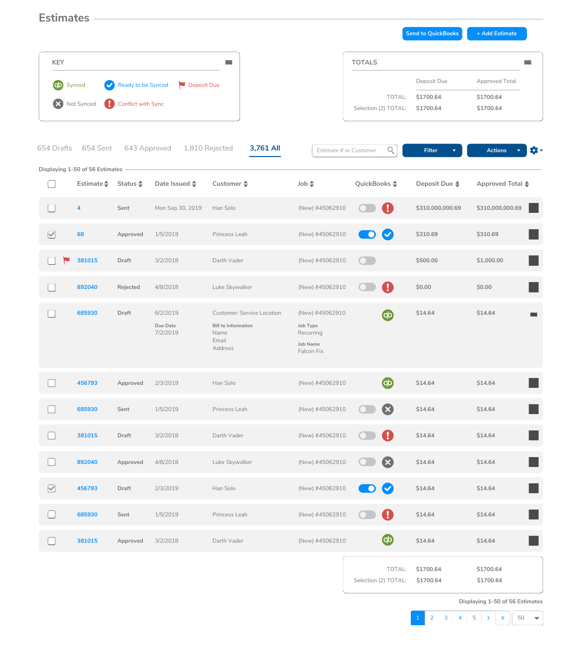## **Estimates**

**Send to QuickBooks** + Add Estimate



**Displaying 1-50 of 56 Estimates**

| <b>KEY</b>                       |                                                    |                                          |                                  |                                                                                             |                                                                           | <b>TOTALS</b>                  |                                       |                                                          |
|----------------------------------|----------------------------------------------------|------------------------------------------|----------------------------------|---------------------------------------------------------------------------------------------|---------------------------------------------------------------------------|--------------------------------|---------------------------------------|----------------------------------------------------------|
| <b>qb</b> Synced<br>$\mathbf{x}$ | Not Synced                                         | Ready to be Synced<br>Conflict with Sync | Deposit Due                      |                                                                                             |                                                                           | TOTAL:<br>Selection (2) TOTAL: | Deposit Due<br>\$1700.64<br>\$1700.64 | <b>Approved Total</b><br>\$1700.64<br>\$1700.64          |
| 654 Drafts                       | 654 Sent<br><b>Displaying 1-50 of 56 Estimates</b> | 643 Approved                             |                                  | 3,761 All<br>1,810 Rejected                                                                 |                                                                           | Q<br>Estimate # or Customer    | <b>Filter</b>                         | $\mathbf{Q}$ -<br><b>Actions</b><br>$\blacktriangledown$ |
|                                  | Estimate $\triangle$                               | Status $\triangle$                       | Date Issued $\triangle$          | Customer $\triangle$                                                                        | $\Rightarrow$ dol                                                         | QuickBooks $\div$              | Deposit Due $\triangle$               | Approved Total $\triangle$                               |
|                                  | $\overline{\mathbf{4}}$                            | Sent                                     | Mon Sep 30, 2019                 | Han Solo                                                                                    | (New) #45062910                                                           | $\mathbf{U}_\mathbf{a}$        | \$310,000,000.69                      | \$310,000,000.69                                         |
| $\Box$<br>$\blacktriangledown$   | 68                                                 | Approved                                 | 1/5/2019                         | Princess Leah                                                                               | (New) #45062910                                                           | <b>O</b>                       | \$310.69                              | \$310.69                                                 |
|                                  | 381015                                             | <b>Draft</b>                             | 3/2/2018                         | Darth Vader                                                                                 | (New) #45062910                                                           | $\bullet$                      | \$500.00                              | \$1,000.00                                               |
|                                  | 892040                                             | <b>Rejected</b>                          | 4/8/2018                         | Luke Skywalker                                                                              | (New) #45062910                                                           | U                              | \$0.00                                | \$0.00                                                   |
|                                  | 685930                                             | <b>Draft</b>                             | 6/2/2019<br>Due Date<br>7/2/2019 | <b>Customer: Service Location</b><br><b>Bill to Information</b><br>Name<br>Email<br>Address | (New) #45062910<br>Job Type<br>Recurring<br><b>Job Name</b><br>Falcon Fix | $\Phi$                         | \$14.64                               | \$14.64<br><b>The State</b>                              |

|                              | 456793 | Approved     | 2/3/2019 | Han Solo       | (New) #45062910 | $\Phi$                                | \$14.64                | \$14.64                |
|------------------------------|--------|--------------|----------|----------------|-----------------|---------------------------------------|------------------------|------------------------|
|                              | 685930 | Sent         | 1/5/2019 | Princess Leah  | (New) #45062910 | $\bullet$<br>$\overline{\mathbf{C}}$  | \$14.64                | \$14.64                |
|                              | 381015 | <b>Draft</b> | 3/2/2018 | Darth Vader    | (New) #45062910 | O<br>$\bigcirc$                       | \$14.64                | L<br>\$14.64           |
|                              | 892040 | Approved     | 4/8/2018 | Luke Skywalker | (New) #45062910 | $\mathbf{x}$<br>$\bullet$             | \$14.64                | \$14.64                |
| $\boxed{\blacktriangledown}$ | 456793 | <b>Draft</b> | 2/3/2019 | Han Solo       | (New) #45062910 | $\bullet$<br>O                        | \$14.64                | \$14.64                |
|                              | 685930 | Sent         | 1/5/2019 | Princess Leah  | (New) #45062910 | $\bigcirc$<br>$\overline{\mathbf{C}}$ | \$14.64                | L<br>\$14.64           |
|                              | 381015 | Approved     | 3/2/2018 | Darth Vader    | (New) #45062910 | $\bigoplus$                           | \$14.64                | \$14.64                |
|                              |        |              |          |                |                 | TOTAL:<br>Selection (2) TOTAL:        | \$1700.64<br>\$1700.64 | \$1700.64<br>\$1700.64 |